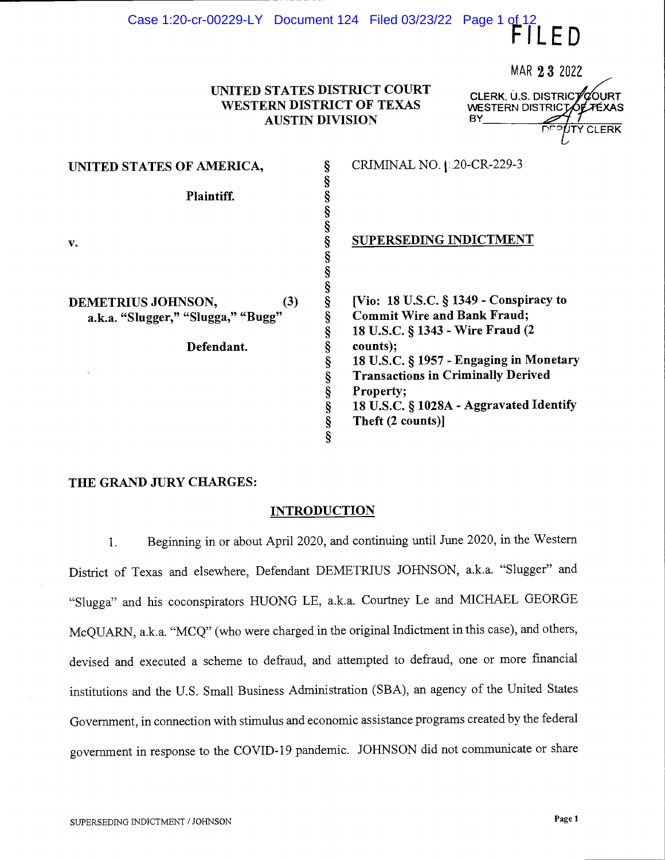# UNITED STATES DISTRICT COURT<br>WESTERN DISTRICT OF TEXAS AUSTIN DIVISION

Case 1:20-cr-00229-LY Document 124 Filed 03/23/22 Page 1 of 12

FILED

| UNITED STATES OF AMERICA,          |   | CRIMINAL NO.   20-CR-229-3                                                                                                                                                    |
|------------------------------------|---|-------------------------------------------------------------------------------------------------------------------------------------------------------------------------------|
| Plaintiff.                         |   |                                                                                                                                                                               |
| v.                                 |   | <b>SUPERSEDING INDICTMENT</b>                                                                                                                                                 |
| (3)<br>DEMETRIUS JOHNSON,          | ş | [Vio: 18 U.S.C. § 1349 - Conspiracy to                                                                                                                                        |
| a.k.a. "Slugger," "Slugga," "Bugg" | § | <b>Commit Wire and Bank Fraud;</b><br>18 U.S.C. § 1343 - Wire Fraud (2                                                                                                        |
| Defendant.                         | ş | counts);<br>18 U.S.C. § 1957 - Engaging in Monetary<br><b>Transactions in Criminally Derived</b><br>Property;<br>18 U.S.C. § 1028A - Aggravated Identify<br>Theft (2 counts)] |

#### THE GRAND JURY CHARGES:

#### INTRODUCTION

Beginning in or about April 2020, and continuing until June 2020, in the Western  $1.$ District of Texas and elsewhere, Defendant DEMETRIUS JOHNSON, a.k.a. "Slugger" and "Slugga" and his coconspirators HUONG LE, a.k.a. Courtney Le and MICHAEL GEORGE McQUARN, a.k.a. "MCQ" (who were charged in the original Indictment in this case), and others, devised and executed a scheme to defraud, and attempted to defraud, one or more fmancial institutions and the U.S. Small Business Administration (SBA), an agency of the United States Government, in connection with stimulus and economic assistance programs created by the federal government in response to the COVID-19 pandemic. JOHNSON did not communicate or share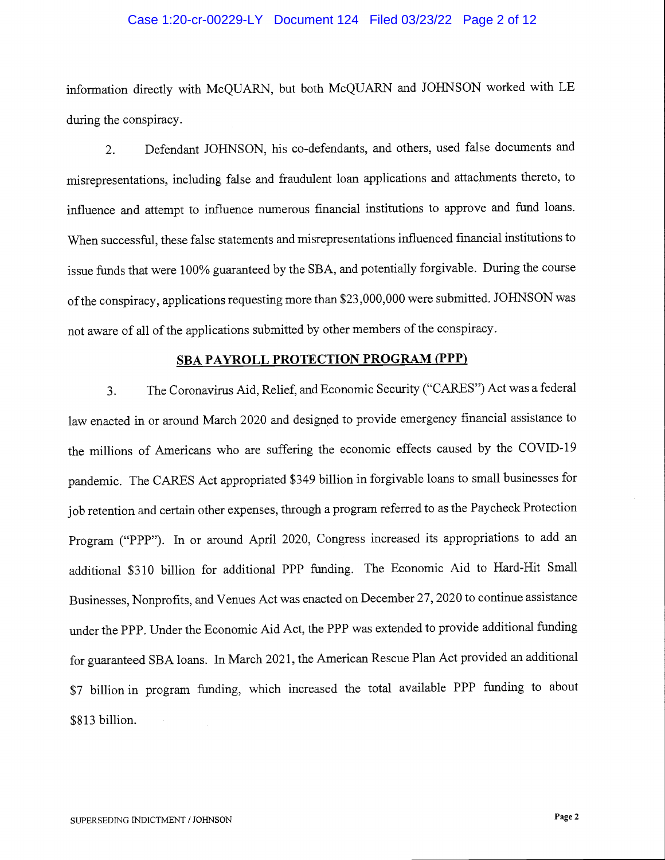### Case 1:20-cr-00229-LY Document 124 Filed 03/23/22 Page 2 of 12

information directly with McQUARN, but both McQUARN and JOHNSON worked with LE during the conspiracy.

2. Defendant JOHNSON, his co-defendants, and others, used false documents and misrepresentations, including false and fraudulent loan applications and attachments thereto, to influence and attempt to influence numerous financial institutions to approve and fund loans. When successful, these false statements and misrepresentations influenced financial institutions to issue funds that were 100% guaranteed by the SBA, and potentially forgivable. During the course of the conspiracy, applications requesting more than \$23,000,000 were submitted. JOHNSON was not aware of all of the applications submitted by other members of the conspiracy.

### SBA PAYROLL PROTECTION PROGRAM (PPP)

3. The Coronavirus Aid, Relief, and Economic Security ("CARES") Act was a federal law enacted in or around March 2020 and designed to provide emergency financial assistance to the millions of Americans who are suffering the economic effects caused by the COVID- <sup>19</sup> pandemic. The CARES Act appropriated \$349 billion in forgivable loans to small businesses for job retention and certain other expenses, through a program referred to as the Paycheck Protection Program ("PPP"). In or around April 2020, Congress increased its appropriations to add an additional \$310 billion for additional PPP funding. The Economic Aid to Hard-Hit Small Businesses, Nonprofits, and Venues Act was enacted on December 27, 2020 to continue assistance under the PPP. Under the Economic Aid Act, the PPP was extended to provide additional funding for guaranteed SBA loans. In March 2021, the American Rescue Plan Act provided an additional \$7 billion in program funding, which increased the total available PPP funding to about \$813 billion.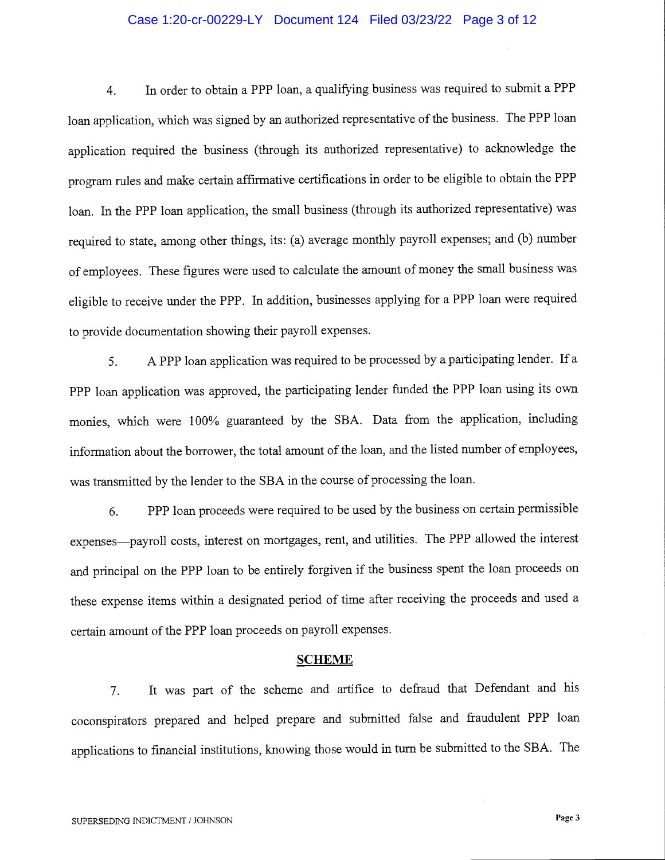### Case 1:20-cr-00229-LY Document 124 Filed 03/23/22 Page 3 of 12

4. In order to obtain a PPP loan, a qualifying business was required to submit a PPP loan application, which was signed by an authorized representative of the business. The PPP loan application required the business (through its authorized representative) to acknowledge the program rules and make certain affirmative certifications in order to be eligible to obtain the PPP loan. In the PPP loan application, the small business (through its authorized representative) was required to state, among other things, its: (a) average monthly payroll expenses; and (b) number of employees. These figures were used to calculate the amount of money the small business was eligible to receive under the PPP. In addition, businesses applying for a PPP loan were required to provide documentation showing their payroll expenses.

5. A PPP loan application was required to be processed by a participating lender. If a PPP loan application was approved, the participating lender funded the PPP loan using its own monies, which were 100% guaranteed by the SBA. Data from the application, including information about the borrower, the total amount of the loan, and the listed number of employees, was transmitted by the lender to the SBA in the course of processing the loan.

6. PPP loan proceeds were required to be used by the business on certain permissible expenses—payroll costs, interest on mortgages, rent, and utilities. The PPP allowed the interest and principal on the PPP loan to be entirely forgiven if the business spent the loan proceeds on these expense items within a designated period of time after receiving the proceeds and used a certain amount of the PPP loan proceeds on payroll expenses.

#### SCHEME

7. It was part of the scheme and artifice to defraud that Defendant and his coconspirators prepared and helped prepare and submitted false and fraudulent PPP loan applications to financial institutions, knowing those would in turn be submitted to the SBA. The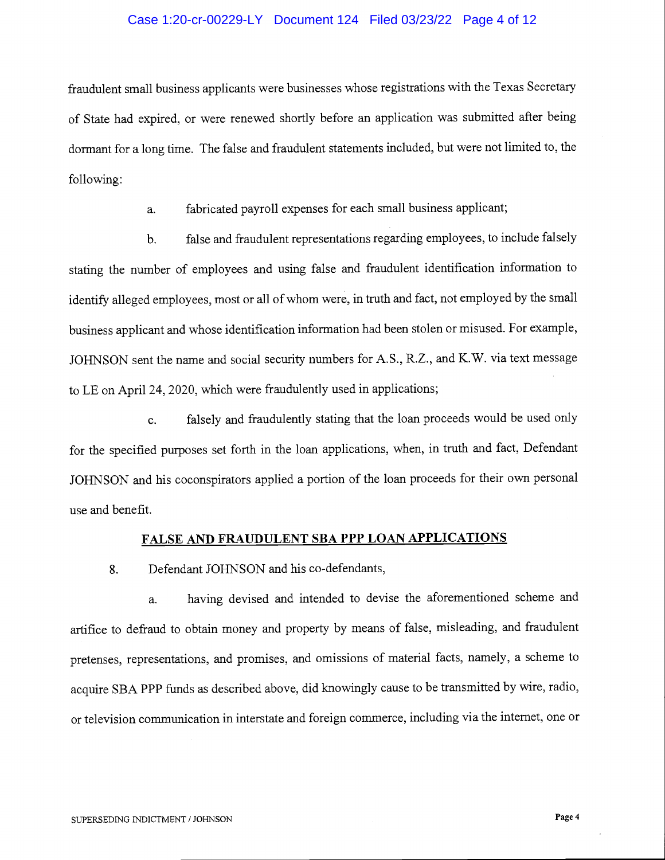### Case 1:20-cr-00229-LY Document 124 Filed 03/23/22 Page 4 of 12

fraudulent small business applicants were businesses whose registrations with the Texas Secretary of State had expired, or were renewed shortly before an application was submitted after being dormant for a long time. The false and fraudulent statements included, but were not limited to, the following:

a. fabricated payroll expenses for each small business applicant;

b. false and fraudulent representations regarding employees, to include falsely stating the number of employees and using false and fraudulent identification information to identify alleged employees, most or all of whom were, in truth and fact, not employed by the small business applicant and whose identification information had been stolen or misused, For example, JOHNSON sent the name and social security numbers for A.S., R.Z., and K.W. via text message to LE on April 24, 2020, which were fraudulently used in applications;

c. falsely and fraudulently stating that the loan proceeds would be used only for the specified purposes set forth in the loan applications, when, in truth and fact, Defendant JOHNSON and his coconspirators applied a portion of the loan proceeds for their own personal use and benefit.

### FALSE AND FRAUDULENT SBA PPP LOAN APPLICATIONS

8. Defendant JOHNSON and his co-defendants,

a. having devised and intended to devise the aforementioned scheme and artifice to defraud to obtain money and property by means of false, misleading, and fraudulent pretenses, representations, and promises, and omissions of material facts, namely, a scheme to acquire SBA PPP funds as described above, did knowingly cause to be transmitted by wire, radio, or television communication in interstate and foreign commerce, including via the internet, one or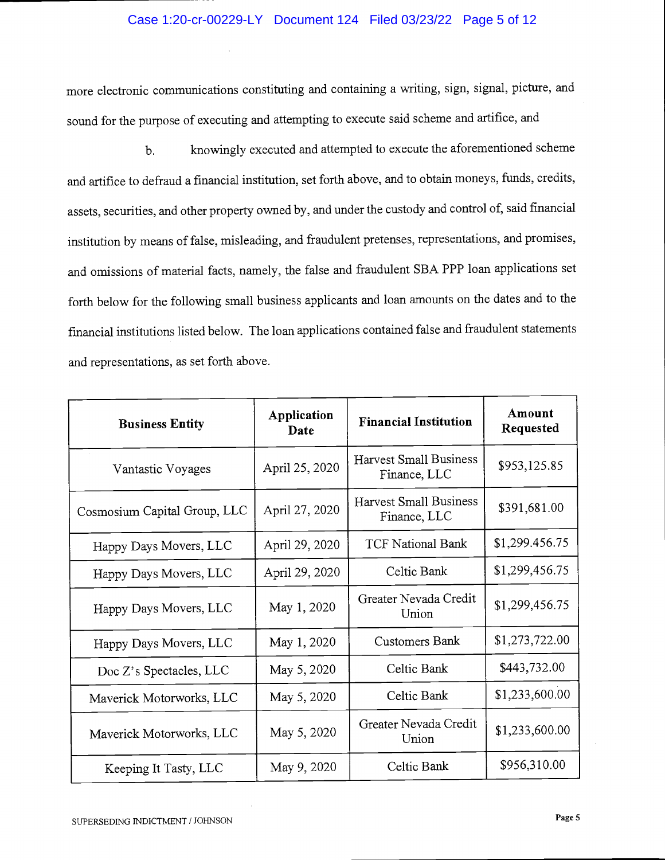## Case 1:20-cr-00229-LY Document 124 Filed 03/23/22 Page 5 of 12

more electronic communications constituting and containing a writing, sign, signal, picture, and sound for the purpose of executing and attempting to execute said scheme and artifice, and

b. knowingly executed and attempted to execute the aforementioned scheme and artifice to defraud a financial institution, set forth above, and to obtain moneys, funds, credits, assets, securities, and other property owned by, and under the custody and control of, said fmancial institution by means of false, misleading, and fraudulent pretenses, representations, and promises, and omissions of material facts, namely, the false and fraudulent SBA PPP loan applications set forth below for the following small business applicants and loan amounts on the dates and to the financial institutions listed below. The loan applications contained false and fraudulent statements and representations, as set forth above.

| <b>Business Entity</b>       | Application<br>Date | <b>Financial Institution</b>                  | Amount<br>Requested |
|------------------------------|---------------------|-----------------------------------------------|---------------------|
| Vantastic Voyages            | April 25, 2020      | <b>Harvest Small Business</b><br>Finance, LLC | \$953,125.85        |
| Cosmosium Capital Group, LLC | April 27, 2020      | Harvest Small Business<br>Finance, LLC        | \$391,681.00        |
| Happy Days Movers, LLC       | April 29, 2020      | <b>TCF National Bank</b>                      | \$1,299.456.75      |
| Happy Days Movers, LLC       | April 29, 2020      | Celtic Bank                                   | \$1,299,456.75      |
| Happy Days Movers, LLC       | May 1, 2020         | Greater Nevada Credit<br>Union                | \$1,299,456.75      |
| Happy Days Movers, LLC       | May 1, 2020         | Customers Bank                                | \$1,273,722.00      |
| Doc Z's Spectacles, LLC      | May 5, 2020         | Celtic Bank                                   | \$443,732.00        |
| Maverick Motorworks, LLC     | May 5, 2020         | Celtic Bank                                   | \$1,233,600.00      |
| Maverick Motorworks, LLC     | May 5, 2020         | Greater Nevada Credit<br>Union                | \$1,233,600.00      |
| Keeping It Tasty, LLC        | May 9, 2020         | Celtic Bank                                   | \$956,310.00        |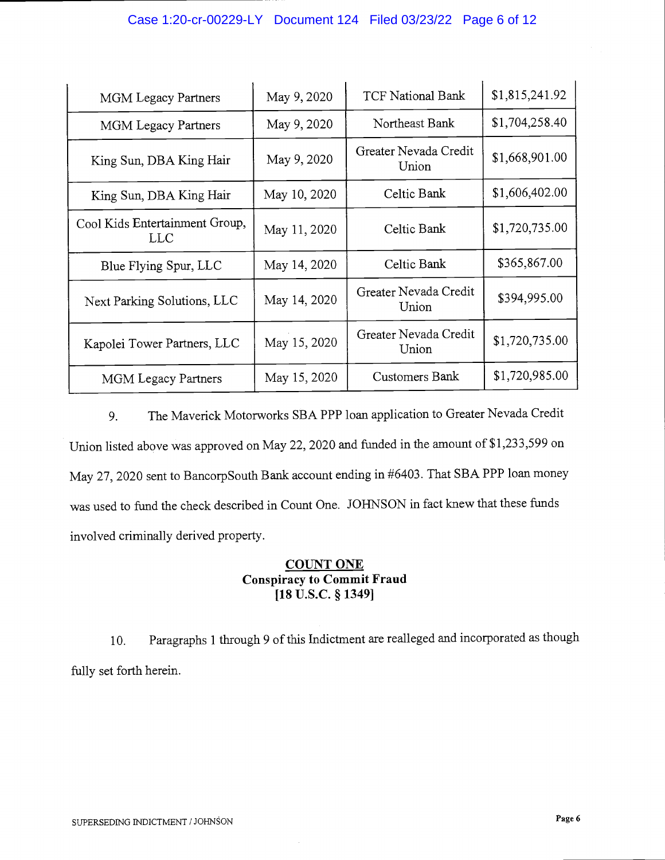| <b>MGM Legacy Partners</b>             | May 9, 2020  | <b>TCF National Bank</b>       | \$1,815,241.92 |
|----------------------------------------|--------------|--------------------------------|----------------|
| <b>MGM Legacy Partners</b>             | May 9, 2020  |                                | \$1,704,258.40 |
| King Sun, DBA King Hair                | May 9, 2020  | Greater Nevada Credit<br>Union | \$1,668,901.00 |
| King Sun, DBA King Hair                | May 10, 2020 | Celtic Bank                    | \$1,606,402.00 |
| Cool Kids Entertainment Group,<br>LLC. | May 11, 2020 | Celtic Bank                    | \$1,720,735.00 |
| Blue Flying Spur, LLC                  | May 14, 2020 | Celtic Bank                    | \$365,867.00   |
| Next Parking Solutions, LLC            | May 14, 2020 | Greater Nevada Credit<br>Union | \$394,995.00   |
| Kapolei Tower Partners, LLC            | May 15, 2020 | Greater Nevada Credit<br>Union | \$1,720,735.00 |
| <b>MGM</b> Legacy Partners             | May 15, 2020 | Customers Bank                 | \$1,720,985.00 |

9. The Maverick Motorworks SBA PPP loan application to Greater Nevada Credit Union listed above was approved on May 22, 2020 and funded in the amount of \$1,233,599 on May 27, 2020 sent to BancorpSouth Bank account ending in #6403. That SBA PPP loan money was used to fund the check described in Count One. JOHNSON in fact knew that these funds involved criminally derived property.

# COUNT ONE Conspiracy to Commit Fraud [18 U.S.C. § 1349]

10. Paragraphs 1 through 9 of this Indictment are realleged and incorporated as though fully set forth herein.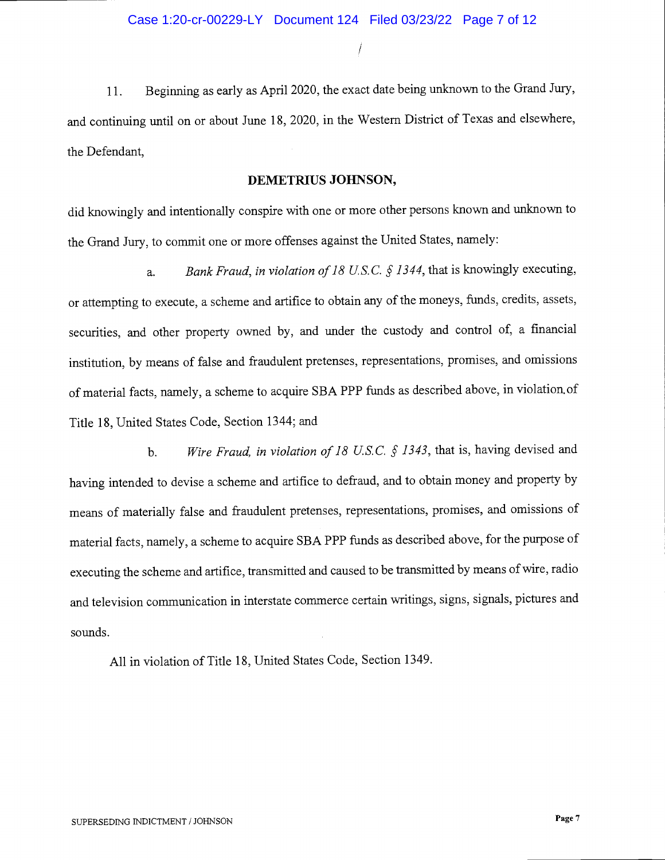11. Beginning as early as April 2020, the exact date being unknown to the Grand Jury, and continuing until on or about June 18, 2020, in the Western District of Texas and elsewhere, the Defendant,

## DEMETRIUS JOHNSON,

did knowingly and intentionally conspire with one or more other persons known and unknown to the Grand Jury, to commit one or more offenses against the United States, namely:

a. Bank Fraud, in violation of 18 U.S.C.  $\frac{6}{5}$  1344, that is knowingly executing, or attempting to execute, a scheme and artifice to obtain any of the moneys, funds, credits, assets, securities, and other property owned by, and under the custody and control of, a financial institution, by means of false and fraudulent pretenses, representations, promises, and omissions of material facts, namely, a scheme to acquire SBA PPP funds as described above, in violation. of Title 18, United States Code, Section 1344; and

b. Wire Fraud, in violation of 18 U.S.C.  $\oint$  1343, that is, having devised and having intended to devise a scheme and artifice to defraud, and to obtain money and property by means of materially false and fraudulent pretenses, representations, promises, and omissions of material facts, namely, a scheme to acquire SBA PPP funds as described above, for the purpose of executing the scheme and artifice, transmitted and caused to be transmitted by means of wire, radio and television communication in interstate commerce certain writings, signs, signals, pictures and sounds.

All in violation of Title 18, United States Code, Section 1349.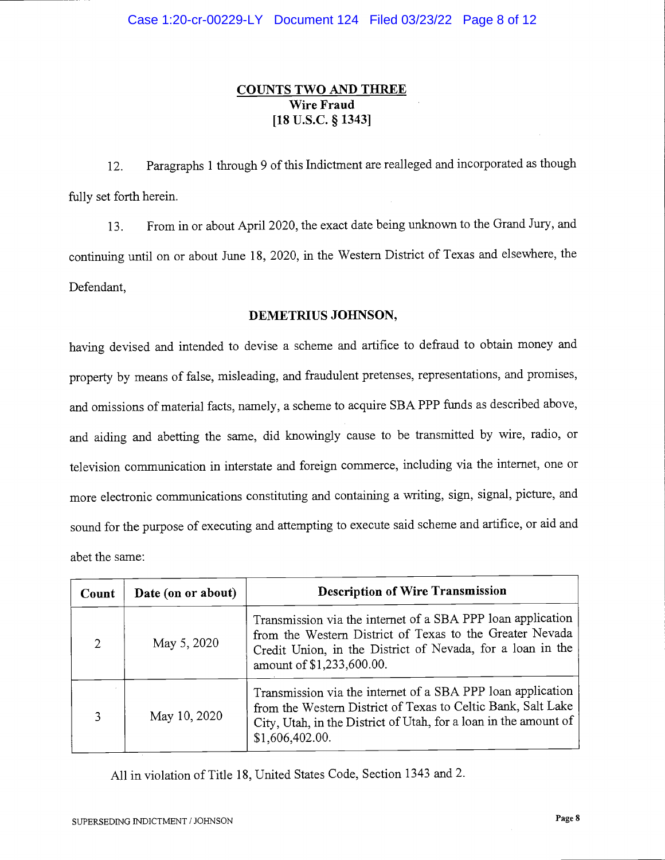# COUNTS TWO AND THREE Wire Fraud [18 U.S.C. § 1343]

12. Paragraphs 1 through 9 of this Indictment are realleged and incorporated as though fully set forth herein.

13. From in or about April 2020, the exact date being unknown to the Grand Jury, and continuing until on or about June 18, 2020, in the Western District of Texas and elsewhere, the Defendant,

## DEMETRIUS JOHNSON,

having devised and intended to devise a scheme and artifice to defraud to obtain money and property by means of false, misleading, and fraudulent pretenses, representations, and promises, and omissions of material facts, namely, a scheme to acquire SBA PPP funds as described above, and aiding and abetting the same, did knowingly cause to be transmitted by wire, radio, or television communication in interstate and foreign commerce, including via the internet, one or more electronic communications constituting and containing a writing, sign, signal, picture, and sound for the purpose of executing and attempting to execute said scheme and artifice, or aid and abet the same:

| Count         | Date (on or about) | <b>Description of Wire Transmission</b>                                                                                                                                                                            |
|---------------|--------------------|--------------------------------------------------------------------------------------------------------------------------------------------------------------------------------------------------------------------|
| $\mathcal{D}$ | May 5, 2020        | Transmission via the internet of a SBA PPP loan application<br>from the Western District of Texas to the Greater Nevada<br>Credit Union, in the District of Nevada, for a loan in the<br>amount of \$1,233,600.00. |
|               | May 10, 2020       | Transmission via the internet of a SBA PPP loan application<br>from the Western District of Texas to Celtic Bank, Salt Lake<br>City, Utah, in the District of Utah, for a loan in the amount of<br>\$1,606,402.00. |

All in violation of Title 18, United States Code, Section 1343 and 2.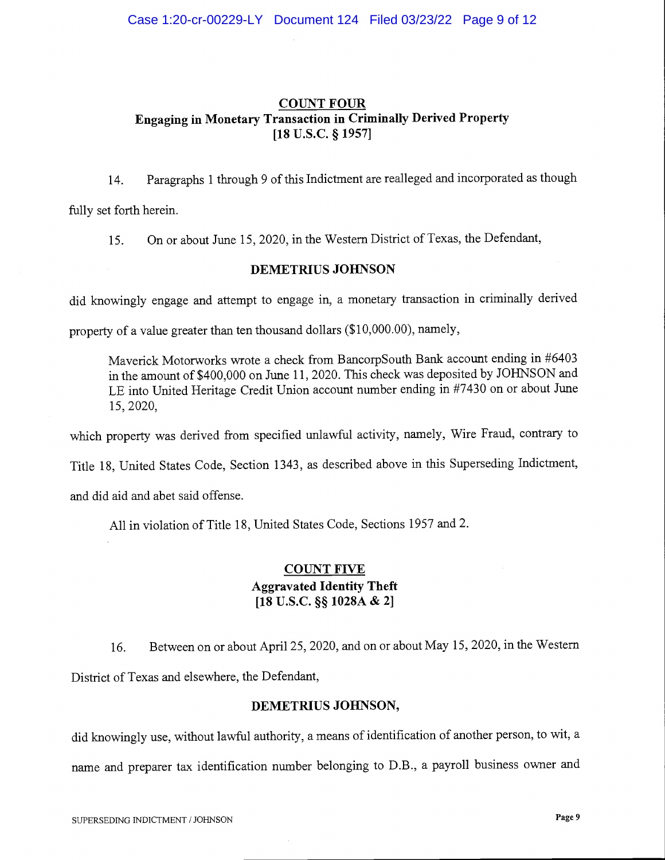# COUNT FOUR Engaging in Monetary Transaction in Criminally Derived Property [18 U.S.C. § 1957]

14. Paragraphs 1 through 9 of this Indictment are realleged and incorporated as though

fully set forth herein.

15. On or about June 15, 2020, in the Western District of Texas, the Defendant,

### DEMETRIUS JOHNSON

did knowingly engage and attempt to engage in, a monetary transaction in criminally derived

property of a value greater than ten thousand dollars (\$10,000.00), namely,

Maverick Motorworks wrote a check from BancorpSouth Bank account ending in #6403 in the amount of \$400,000 on June 11, 2020. This check was deposited by JOHNSON and LE into United Heritage Credit Union account number ending in #7430 on or about June 15, 2020,

which property was derived from specified unlawful activity, namely, Wire Fraud, contrary to

Title 18, United States Code, Section 1343, as described above in this Superseding Indictment,

and did aid and abet said offense.

All in violation of Title 18, United States Code, Sections 1957 and 2.

# COUNT FIVE Aggravated Identity Theft  $[18 \text{ U.S.C.}$  §§  $1028A \& 2]$

16. Between on or about April 25, 2020, and on or about May 15, 2020, in the Western District of Texas and elsewhere, the Defendant,

## DEMETRIUS JOHNSON,

did knowingly use, without lawful authority, a means of identification of another person, to wit, a name and preparer tax identification number belonging to D.B., a payroll business owner and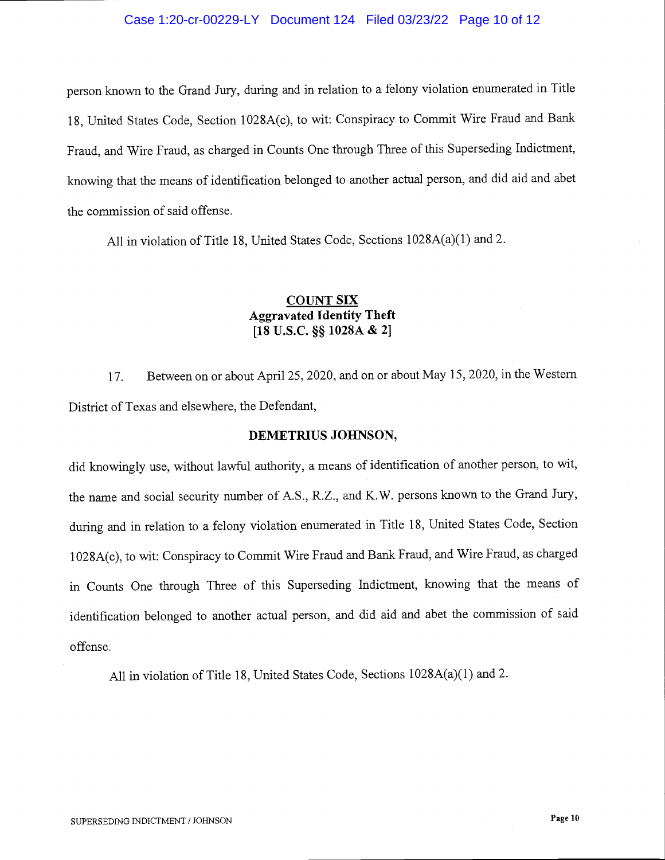### Case 1:20-cr-00229-LY Document 124 Filed 03/23/22 Page 10 of 12

person known to the Grand Jury, during and in relation to a felony violation enumerated in Title 18, United States Code, Section 1028A(c), to wit: Conspiracy to Commit Wire Fraud and Bank Fraud, and Wire Fraud, as charged in Counts One through Three of this Superseding Indictment, knowing that the means of identification belonged to another actual person, and did aid and abet the commission of said offense.

All in violation of Title 18, United States Code, Sections 1028A(a)(1) and 2.

# COUNT SIX Aggravated Identity Theft  $[18 \text{ U.S.C.}$  §§  $1028A \& 2]$

17. Between on or about April 25, 2020, and on or about May 15, 2020, in the Western District of Texas and elsewhere, the Defendant,

#### DEMETRIUS JOHNSON,

did knowingly use, without lawful authority, a means of identification of another person, to wit, the name and social security number of A.S., R.Z., and K.W. persons known to the Grand Jury, during and in relation to a felony violation enumerated in Title 18, United States Code, Section <sup>1</sup>028A(c), to wit: Conspiracy to Commit Wire Fraud and Bank Fraud, and Wire Fraud, as charged in Counts One through Three of this Superseding Indictment, knowing that the means of identification belonged to another actual person, and did aid and abet the commission of said offense.

All in violation of Title 18, United States Code, Sections 1028A(a)(1) and 2.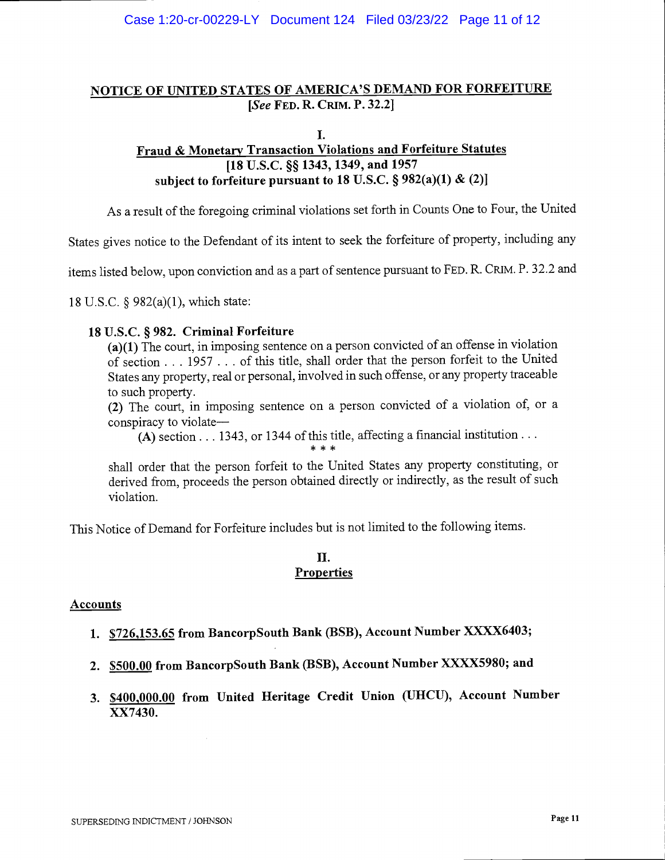# NOTICE OF UNITED STATES OF AMERICA'S DEMAND FOR FORFEITURE [See FED. R. CRIM. P. 32.2]

#### I.

# Fraud & Monetary Transaction Violations and Forfeiture Statutes [18 U.S.C. §§ 1343, 1349, and 1957] subject to forfeiture pursuant to 18 U.S.C.  $\S 982(a)(1) \& (2)$

As a result of the foregoing criminal violations set forth in Counts One to Four, the United

States gives notice to the Defendant of its intent to seek the forfeiture of property, including any

items listed below, upon conviction and as a part of sentence pursuant to FED. R. CRIM. P. 32.2 and

18 U.S.C. § 982(a)(1), which state:

### <sup>18</sup>U.S.C. § 982. Criminal Forfeiture

(a)(1) The court, in imposing sentence on a person convicted of an offense in violation of section . . . 1957 . . . of this title, shall order that the person forfeit to the United States any property, real or personal, involved in such offense, or any property traceable to such property.

(2) The court, in imposing sentence on a person convicted of a violation of, or a conspiracy to violate

(A) section  $\dots$  1343, or 1344 of this title, affecting a financial institution  $\dots$ 

shall order that the person forfeit to the United States any property constituting, or derived from, proceeds the person obtained directly or indirectly, as the result of such violation.

This Notice of Demand for Forfeiture includes but is not limited to the following items.

### II. **Properties**

### **Accounts**

- 1. \$726,153.65 from BancorpSouth Bank (BSB), Account Number XXXX64O3;
- 2. \$500.00 from BancorpSouth Bank (BSB), Account Number XXXX598O; and
- 3. \$400,000.00 from United Heritage Credit Union (UHCU), Account Number XX7430.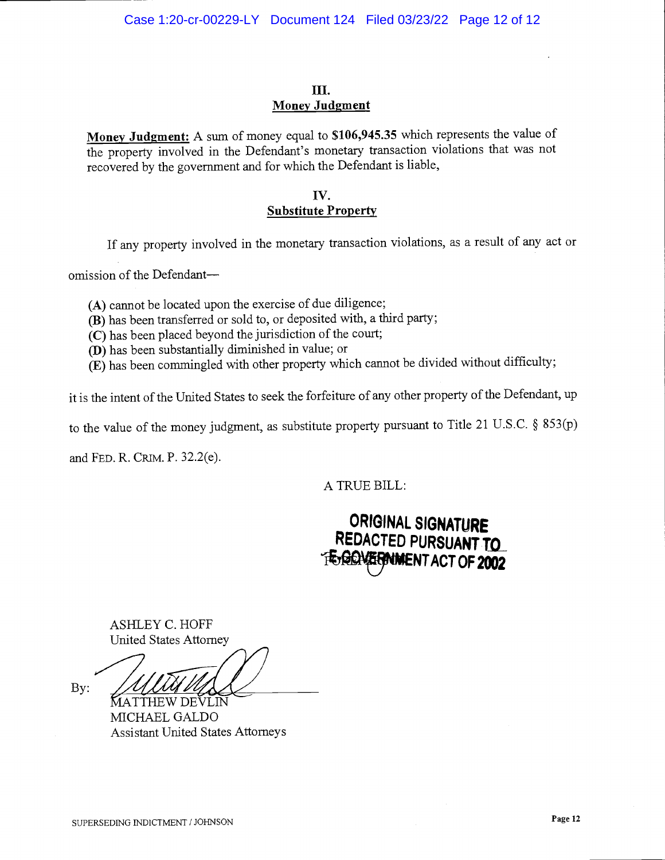# III. Money Judgment

Money Judgment: A sum of money equal to \$106,945.35 which represents the value of the property involved in the Defendant's monetary transaction violations that was not recovered by the government and for which the Defendant is liable,

## Iv. Substitute Property

If any property involved in the monetary transaction violations, as a result of any act or

omission of the Defendant

(A) cannot be located upon the exercise of due diligence;

- (B) has been transferred or sold to, or deposited with, a third party;
- (C) has been placed beyond the jurisdiction of the court;
- (D) has been substantially diminished in value; or
- (E) has been commingled with other property which cannot be divided without difficulty;

it is the intent of the United States to seek the forfeiture of any other property of the Defendant, up

to the value of the money judgment, as substitute property pursuant to Title 21 U.S.C.  $\S$  853(p)

and FED. R. CRIM. P. 32.2(e).

A TRUE BILL:

# ORIGINAL SIGNATURE REDACTED PURSUANT TO **FEGENWERMMENT ACT OF 2002**

ASHLEY C. HOFF United States Attorney

By:

MATTHEW DEVLIN MICHAEL GALDO Assistant United States Attorneys